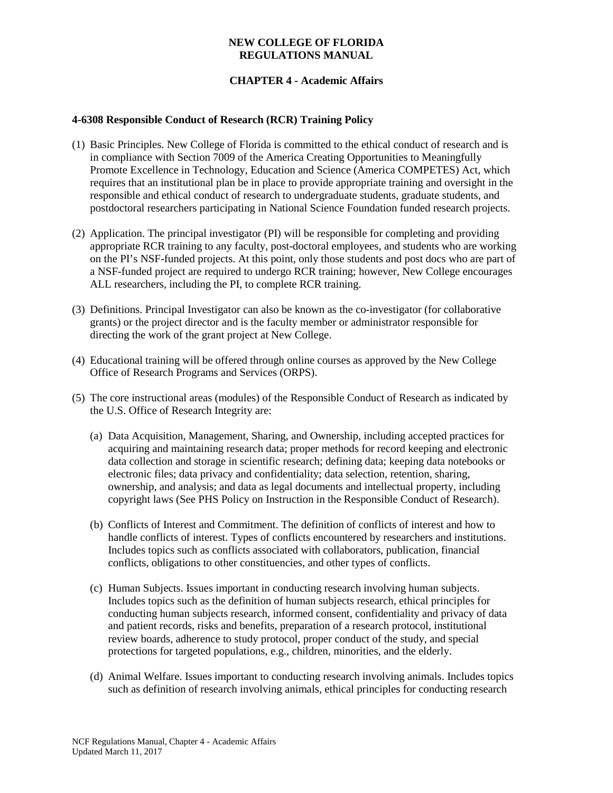### **NEW COLLEGE OF FLORIDA REGULATIONS MANUAL**

# **CHAPTER 4 - Academic Affairs**

#### **4-6308 Responsible Conduct of Research (RCR) Training Policy**

- (1) Basic Principles. New College of Florida is committed to the ethical conduct of research and is in compliance with Section 7009 of the America Creating Opportunities to Meaningfully Promote Excellence in Technology, Education and Science (America COMPETES) Act, which requires that an institutional plan be in place to provide appropriate training and oversight in the responsible and ethical conduct of research to undergraduate students, graduate students, and postdoctoral researchers participating in National Science Foundation funded research projects.
- (2) Application. The principal investigator (PI) will be responsible for completing and providing appropriate RCR training to any faculty, post-doctoral employees, and students who are working on the PI's NSF-funded projects. At this point, only those students and post docs who are part of a NSF-funded project are required to undergo RCR training; however, New College encourages ALL researchers, including the PI, to complete RCR training.
- (3) Definitions. Principal Investigator can also be known as the co-investigator (for collaborative grants) or the project director and is the faculty member or administrator responsible for directing the work of the grant project at New College.
- (4) Educational training will be offered through online courses as approved by the New College Office of Research Programs and Services (ORPS).
- (5) The core instructional areas (modules) of the Responsible Conduct of Research as indicated by the U.S. Office of Research Integrity are:
	- (a) Data Acquisition, Management, Sharing, and Ownership, including accepted practices for acquiring and maintaining research data; proper methods for record keeping and electronic data collection and storage in scientific research; defining data; keeping data notebooks or electronic files; data privacy and confidentiality; data selection, retention, sharing, ownership, and analysis; and data as legal documents and intellectual property, including copyright laws (See PHS Policy on Instruction in the Responsible Conduct of Research).
	- (b) Conflicts of Interest and Commitment. The definition of conflicts of interest and how to handle conflicts of interest. Types of conflicts encountered by researchers and institutions. Includes topics such as conflicts associated with collaborators, publication, financial conflicts, obligations to other constituencies, and other types of conflicts.
	- (c) Human Subjects. Issues important in conducting research involving human subjects. Includes topics such as the definition of human subjects research, ethical principles for conducting human subjects research, informed consent, confidentiality and privacy of data and patient records, risks and benefits, preparation of a research protocol, institutional review boards, adherence to study protocol, proper conduct of the study, and special protections for targeted populations, e.g., children, minorities, and the elderly.
	- (d) Animal Welfare. Issues important to conducting research involving animals. Includes topics such as definition of research involving animals, ethical principles for conducting research